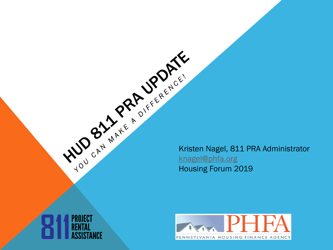Kristen Nagel, 811 PRA Administrator Kristen Nagel, 811 PRA Administrator [knagel@phfa.org](mailto:knagel@phfa.org) Housing Forum 2019



**PROJECT** 

'ANCE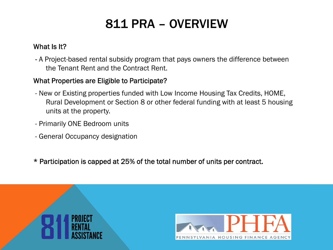# 811 PRA – OVERVIEW

## What Is It?

- A Project-based rental subsidy program that pays owners the difference between the Tenant Rent and the Contract Rent.

### What Properties are Eligible to Participate?

- New or Existing properties funded with Low Income Housing Tax Credits, HOME, Rural Development or Section 8 or other federal funding with at least 5 housing units at the property.
- Primarily ONE Bedroom units
- General Occupancy designation
- \* Participation is capped at 25% of the total number of units per contract.



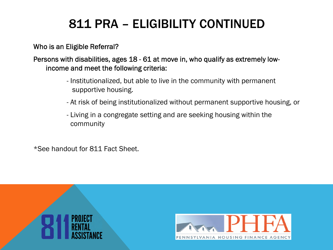# 811 PRA – ELIGIBILITY CONTINUED

### Who is an Eligible Referral?

## Persons with disabilities, ages 18 - 61 at move in, who qualify as extremely lowincome and meet the following criteria:

- Institutionalized, but able to live in the community with permanent supportive housing.
- At risk of being institutionalized without permanent supportive housing, or
- Living in a congregate setting and are seeking housing within the community

\*See handout for 811 Fact Sheet.



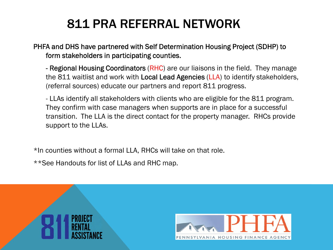# 811 PRA REFERRAL NETWORK

PHFA and DHS have partnered with Self Determination Housing Project (SDHP) to form stakeholders in participating counties.

- Regional Housing Coordinators (RHC) are our liaisons in the field. They manage the 811 waitlist and work with Local Lead Agencies (LLA) to identify stakeholders, (referral sources) educate our partners and report 811 progress.

- LLAs identify all stakeholders with clients who are eligible for the 811 program. They confirm with case managers when supports are in place for a successful transition. The LLA is the direct contact for the property manager. RHCs provide support to the LLAs.

\*In counties without a formal LLA, RHCs will take on that role.

\*\*See Handouts for list of LLAs and RHC map.



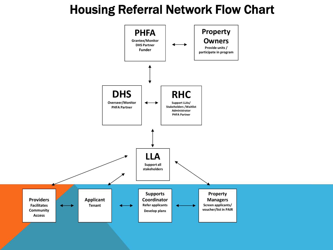## Housing Referral Network Flow Chart

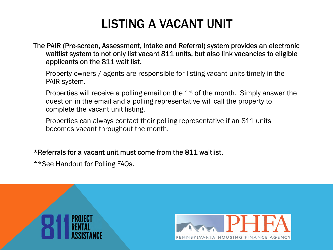## LISTING A VACANT UNIT

The PAIR (Pre-screen, Assessment, Intake and Referral) system provides an electronic waitlist system to not only list vacant 811 units, but also link vacancies to eligible applicants on the 811 wait list.

Property owners / agents are responsible for listing vacant units timely in the PAIR system.

Properties will receive a polling email on the 1<sup>st</sup> of the month. Simply answer the question in the email and a polling representative will call the property to complete the vacant unit listing.

Properties can always contact their polling representative if an 811 units becomes vacant throughout the month.

### \*Referrals for a vacant unit must come from the 811 waitlist.

\*\*See Handout for Polling FAQs.



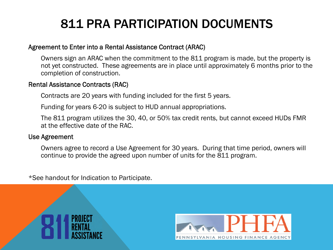# 811 PRA PARTICIPATION DOCUMENTS

#### Agreement to Enter into a Rental Assistance Contract (ARAC)

Owners sign an ARAC when the commitment to the 811 program is made, but the property is not yet constructed. These agreements are in place until approximately 6 months prior to the completion of construction.

#### Rental Assistance Contracts (RAC)

Contracts are 20 years with funding included for the first 5 years.

Funding for years 6-20 is subject to HUD annual appropriations.

The 811 program utilizes the 30, 40, or 50% tax credit rents, but cannot exceed HUDs FMR at the effective date of the RAC.

#### Use Agreement

Owners agree to record a Use Agreement for 30 years. During that time period, owners will continue to provide the agreed upon number of units for the 811 program.

\*See handout for Indication to Participate.



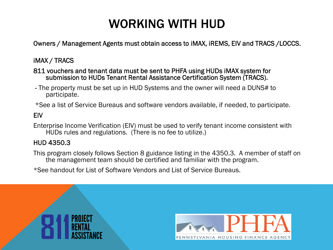## WORKING WITH HUD

Owners / Management Agents must obtain access to iMAX, iREMS, EIV and TRACS /LOCCS.

## iMAX / TRACS

#### 811 vouchers and tenant data must be sent to PHFA using HUDs iMAX system for submission to HUDs Tenant Rental Assistance Certification System (TRACS).

- The property must be set up in HUD Systems and the owner will need a DUNS# to participate.

\*See a list of Service Bureaus and software vendors available, if needed, to participate.

### EIV

Enterprise Income Verification (EIV) must be used to verify tenant income consistent with HUDs rules and regulations. (There is no fee to utilize.)

#### HUD 4350.3

This program closely follows Section 8 guidance listing in the 4350.3. A member of staff on the management team should be certified and familiar with the program.

\*See handout for List of Software Vendors and List of Service Bureaus.



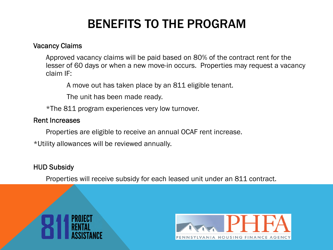# BENEFITS TO THE PROGRAM

#### Vacancy Claims

Approved vacancy claims will be paid based on 80% of the contract rent for the lesser of 60 days or when a new move-in occurs. Properties may request a vacancy claim IF:

A move out has taken place by an 811 eligible tenant.

The unit has been made ready.

\*The 811 program experiences very low turnover.

### Rent Increases

Properties are eligible to receive an annual OCAF rent increase.

\*Utility allowances will be reviewed annually.

## HUD Subsidy

Properties will receive subsidy for each leased unit under an 811 contract.



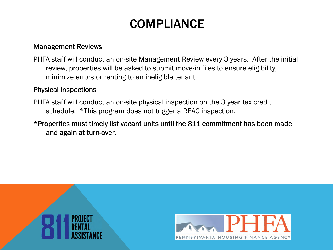## **COMPLIANCE**

### Management Reviews

PHFA staff will conduct an on-site Management Review every 3 years. After the initial review, properties will be asked to submit move-in files to ensure eligibility, minimize errors or renting to an ineligible tenant.

### Physical Inspections

- PHFA staff will conduct an on-site physical inspection on the 3 year tax credit schedule. \*This program does not trigger a REAC inspection.
- \*Properties must timely list vacant units until the 811 commitment has been made and again at turn-over.